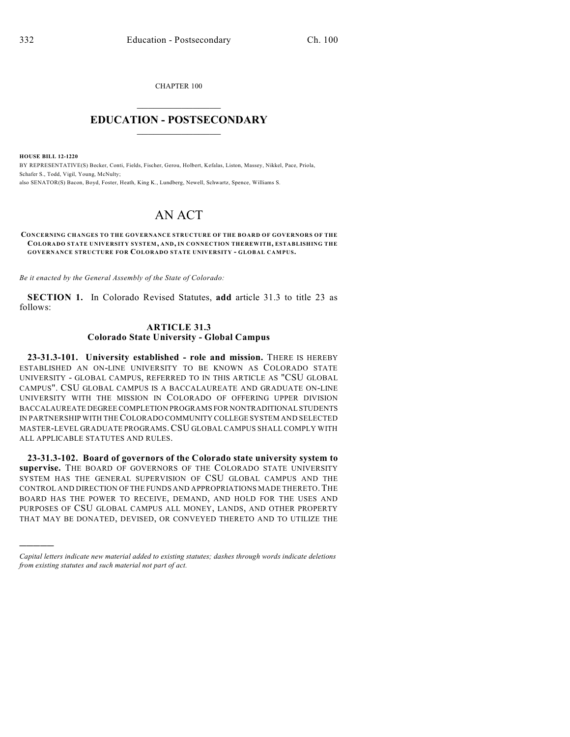CHAPTER 100  $\overline{\phantom{a}}$  . The set of the set of the set of the set of the set of the set of the set of the set of the set of the set of the set of the set of the set of the set of the set of the set of the set of the set of the set o

## **EDUCATION - POSTSECONDARY**  $\frac{1}{2}$  ,  $\frac{1}{2}$  ,  $\frac{1}{2}$  ,  $\frac{1}{2}$  ,  $\frac{1}{2}$  ,  $\frac{1}{2}$  ,  $\frac{1}{2}$

**HOUSE BILL 12-1220**

)))))

BY REPRESENTATIVE(S) Becker, Conti, Fields, Fischer, Gerou, Holbert, Kefalas, Liston, Massey, Nikkel, Pace, Priola, Schafer S., Todd, Vigil, Young, McNulty; also SENATOR(S) Bacon, Boyd, Foster, Heath, King K., Lundberg, Newell, Schwartz, Spence, Williams S.

## AN ACT

## **CONCERNING CHANGES TO THE GOVERNANCE STRUCTURE OF THE BOARD OF GOVERNORS OF THE COLORADO STATE UNIVERSITY SYSTEM, AND, IN CONNECTION THEREWITH, ESTABLISHING THE GOVERNANCE STRUCTURE FOR COLORADO STATE UNIVERSITY - GLOBAL CAMPUS.**

*Be it enacted by the General Assembly of the State of Colorado:*

**SECTION 1.** In Colorado Revised Statutes, **add** article 31.3 to title 23 as follows:

## **ARTICLE 31.3 Colorado State University - Global Campus**

**23-31.3-101. University established - role and mission.** THERE IS HEREBY ESTABLISHED AN ON-LINE UNIVERSITY TO BE KNOWN AS COLORADO STATE UNIVERSITY - GLOBAL CAMPUS, REFERRED TO IN THIS ARTICLE AS "CSU GLOBAL CAMPUS". CSU GLOBAL CAMPUS IS A BACCALAUREATE AND GRADUATE ON-LINE UNIVERSITY WITH THE MISSION IN COLORADO OF OFFERING UPPER DIVISION BACCALAUREATE DEGREE COMPLETION PROGRAMS FOR NONTRADITIONAL STUDENTS IN PARTNERSHIP WITH THECOLORADO COMMUNITY COLLEGE SYSTEM AND SELECTED MASTER-LEVEL GRADUATE PROGRAMS.CSU GLOBAL CAMPUS SHALL COMPLY WITH ALL APPLICABLE STATUTES AND RULES.

**23-31.3-102. Board of governors of the Colorado state university system to supervise.** THE BOARD OF GOVERNORS OF THE COLORADO STATE UNIVERSITY SYSTEM HAS THE GENERAL SUPERVISION OF CSU GLOBAL CAMPUS AND THE CONTROL AND DIRECTION OF THE FUNDS AND APPROPRIATIONS MADE THERETO.THE BOARD HAS THE POWER TO RECEIVE, DEMAND, AND HOLD FOR THE USES AND PURPOSES OF CSU GLOBAL CAMPUS ALL MONEY, LANDS, AND OTHER PROPERTY THAT MAY BE DONATED, DEVISED, OR CONVEYED THERETO AND TO UTILIZE THE

*Capital letters indicate new material added to existing statutes; dashes through words indicate deletions from existing statutes and such material not part of act.*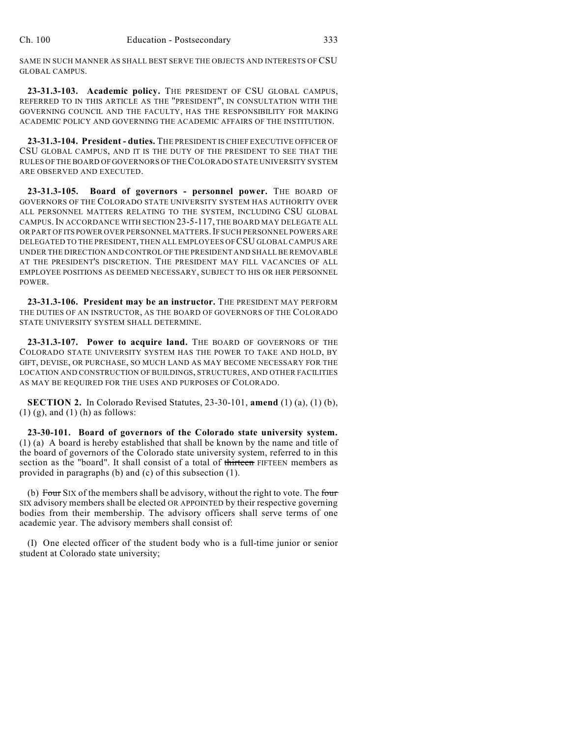SAME IN SUCH MANNER AS SHALL BEST SERVE THE OBJECTS AND INTERESTS OF CSU GLOBAL CAMPUS.

**23-31.3-103. Academic policy.** THE PRESIDENT OF CSU GLOBAL CAMPUS, REFERRED TO IN THIS ARTICLE AS THE "PRESIDENT", IN CONSULTATION WITH THE GOVERNING COUNCIL AND THE FACULTY, HAS THE RESPONSIBILITY FOR MAKING ACADEMIC POLICY AND GOVERNING THE ACADEMIC AFFAIRS OF THE INSTITUTION.

**23-31.3-104. President - duties.** THE PRESIDENT IS CHIEF EXECUTIVE OFFICER OF CSU GLOBAL CAMPUS, AND IT IS THE DUTY OF THE PRESIDENT TO SEE THAT THE RULES OF THE BOARD OF GOVERNORS OF THECOLORADO STATE UNIVERSITY SYSTEM ARE OBSERVED AND EXECUTED.

**23-31.3-105. Board of governors - personnel power.** THE BOARD OF GOVERNORS OF THE COLORADO STATE UNIVERSITY SYSTEM HAS AUTHORITY OVER ALL PERSONNEL MATTERS RELATING TO THE SYSTEM, INCLUDING CSU GLOBAL CAMPUS.IN ACCORDANCE WITH SECTION 23-5-117, THE BOARD MAY DELEGATE ALL OR PART OF ITS POWER OVER PERSONNEL MATTERS.IF SUCH PERSONNEL POWERS ARE DELEGATED TO THE PRESIDENT, THEN ALL EMPLOYEES OF CSU GLOBALCAMPUS ARE UNDER THE DIRECTION AND CONTROL OF THE PRESIDENT AND SHALL BE REMOVABLE AT THE PRESIDENT'S DISCRETION. THE PRESIDENT MAY FILL VACANCIES OF ALL EMPLOYEE POSITIONS AS DEEMED NECESSARY, SUBJECT TO HIS OR HER PERSONNEL POWER.

**23-31.3-106. President may be an instructor.** THE PRESIDENT MAY PERFORM THE DUTIES OF AN INSTRUCTOR, AS THE BOARD OF GOVERNORS OF THE COLORADO STATE UNIVERSITY SYSTEM SHALL DETERMINE.

**23-31.3-107. Power to acquire land.** THE BOARD OF GOVERNORS OF THE COLORADO STATE UNIVERSITY SYSTEM HAS THE POWER TO TAKE AND HOLD, BY GIFT, DEVISE, OR PURCHASE, SO MUCH LAND AS MAY BECOME NECESSARY FOR THE LOCATION AND CONSTRUCTION OF BUILDINGS, STRUCTURES, AND OTHER FACILITIES AS MAY BE REQUIRED FOR THE USES AND PURPOSES OF COLORADO.

**SECTION 2.** In Colorado Revised Statutes, 23-30-101, **amend** (1) (a), (1) (b),  $(1)$   $(g)$ , and  $(1)$   $(h)$  as follows:

**23-30-101. Board of governors of the Colorado state university system.** (1) (a) A board is hereby established that shall be known by the name and title of the board of governors of the Colorado state university system, referred to in this section as the "board". It shall consist of a total of thirteen FIFTEEN members as provided in paragraphs (b) and (c) of this subsection (1).

(b) Four SIX of the members shall be advisory, without the right to vote. The four SIX advisory members shall be elected OR APPOINTED by their respective governing bodies from their membership. The advisory officers shall serve terms of one academic year. The advisory members shall consist of:

(I) One elected officer of the student body who is a full-time junior or senior student at Colorado state university;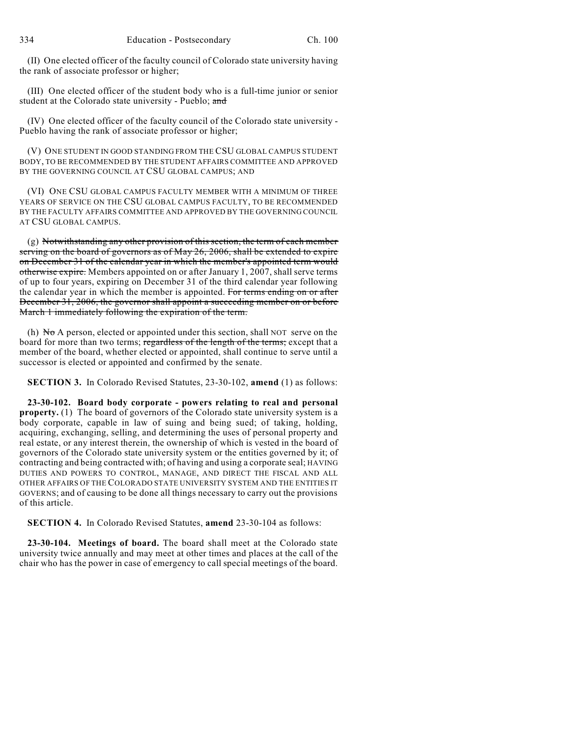(II) One elected officer of the faculty council of Colorado state university having the rank of associate professor or higher;

(III) One elected officer of the student body who is a full-time junior or senior student at the Colorado state university - Pueblo; and

(IV) One elected officer of the faculty council of the Colorado state university - Pueblo having the rank of associate professor or higher;

(V) ONE STUDENT IN GOOD STANDING FROM THE CSU GLOBAL CAMPUS STUDENT BODY, TO BE RECOMMENDED BY THE STUDENT AFFAIRS COMMITTEE AND APPROVED BY THE GOVERNING COUNCIL AT CSU GLOBAL CAMPUS; AND

(VI) ONE CSU GLOBAL CAMPUS FACULTY MEMBER WITH A MINIMUM OF THREE YEARS OF SERVICE ON THE CSU GLOBAL CAMPUS FACULTY, TO BE RECOMMENDED BY THE FACULTY AFFAIRS COMMITTEE AND APPROVED BY THE GOVERNING COUNCIL AT CSU GLOBAL CAMPUS.

(g) Notwithstanding any other provision of this section, the term of each member serving on the board of governors as of May 26, 2006, shall be extended to expire on December 31 of the calendar year in which the member's appointed term would otherwise expire. Members appointed on or after January 1, 2007, shall serve terms of up to four years, expiring on December 31 of the third calendar year following the calendar year in which the member is appointed. For terms ending on or after December 31, 2006, the governor shall appoint a succeeding member on or before March 1 immediately following the expiration of the term.

(h)  $N\sigma A$  person, elected or appointed under this section, shall NOT serve on the board for more than two terms; regardless of the length of the terms; except that a member of the board, whether elected or appointed, shall continue to serve until a successor is elected or appointed and confirmed by the senate.

**SECTION 3.** In Colorado Revised Statutes, 23-30-102, **amend** (1) as follows:

**23-30-102. Board body corporate - powers relating to real and personal property.** (1) The board of governors of the Colorado state university system is a body corporate, capable in law of suing and being sued; of taking, holding, acquiring, exchanging, selling, and determining the uses of personal property and real estate, or any interest therein, the ownership of which is vested in the board of governors of the Colorado state university system or the entities governed by it; of contracting and being contracted with; of having and using a corporate seal; HAVING DUTIES AND POWERS TO CONTROL, MANAGE, AND DIRECT THE FISCAL AND ALL OTHER AFFAIRS OF THE COLORADO STATE UNIVERSITY SYSTEM AND THE ENTITIES IT GOVERNS; and of causing to be done all things necessary to carry out the provisions of this article.

**SECTION 4.** In Colorado Revised Statutes, **amend** 23-30-104 as follows:

**23-30-104. Meetings of board.** The board shall meet at the Colorado state university twice annually and may meet at other times and places at the call of the chair who has the power in case of emergency to call special meetings of the board.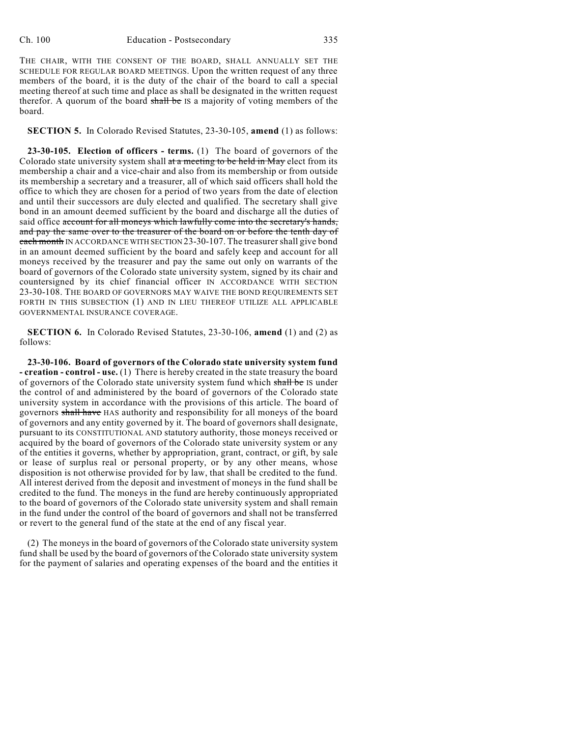THE CHAIR, WITH THE CONSENT OF THE BOARD, SHALL ANNUALLY SET THE SCHEDULE FOR REGULAR BOARD MEETINGS. Upon the written request of any three members of the board, it is the duty of the chair of the board to call a special meeting thereof at such time and place as shall be designated in the written request therefor. A quorum of the board shall be IS a majority of voting members of the board.

**SECTION 5.** In Colorado Revised Statutes, 23-30-105, **amend** (1) as follows:

**23-30-105. Election of officers - terms.** (1) The board of governors of the Colorado state university system shall at a meeting to be held in May elect from its membership a chair and a vice-chair and also from its membership or from outside its membership a secretary and a treasurer, all of which said officers shall hold the office to which they are chosen for a period of two years from the date of election and until their successors are duly elected and qualified. The secretary shall give bond in an amount deemed sufficient by the board and discharge all the duties of said office account for all moneys which lawfully come into the secretary's hands, and pay the same over to the treasurer of the board on or before the tenth day of each month IN ACCORDANCE WITH SECTION 23-30-107. The treasurer shall give bond in an amount deemed sufficient by the board and safely keep and account for all moneys received by the treasurer and pay the same out only on warrants of the board of governors of the Colorado state university system, signed by its chair and countersigned by its chief financial officer IN ACCORDANCE WITH SECTION 23-30-108. THE BOARD OF GOVERNORS MAY WAIVE THE BOND REQUIREMENTS SET FORTH IN THIS SUBSECTION (1) AND IN LIEU THEREOF UTILIZE ALL APPLICABLE GOVERNMENTAL INSURANCE COVERAGE.

**SECTION 6.** In Colorado Revised Statutes, 23-30-106, **amend** (1) and (2) as follows:

**23-30-106. Board of governors of the Colorado state university system fund - creation - control - use.** (1) There is hereby created in the state treasury the board of governors of the Colorado state university system fund which shall be IS under the control of and administered by the board of governors of the Colorado state university system in accordance with the provisions of this article. The board of governors shall have HAS authority and responsibility for all moneys of the board of governors and any entity governed by it. The board of governors shall designate, pursuant to its CONSTITUTIONAL AND statutory authority, those moneys received or acquired by the board of governors of the Colorado state university system or any of the entities it governs, whether by appropriation, grant, contract, or gift, by sale or lease of surplus real or personal property, or by any other means, whose disposition is not otherwise provided for by law, that shall be credited to the fund. All interest derived from the deposit and investment of moneys in the fund shall be credited to the fund. The moneys in the fund are hereby continuously appropriated to the board of governors of the Colorado state university system and shall remain in the fund under the control of the board of governors and shall not be transferred or revert to the general fund of the state at the end of any fiscal year.

(2) The moneys in the board of governors of the Colorado state university system fund shall be used by the board of governors of the Colorado state university system for the payment of salaries and operating expenses of the board and the entities it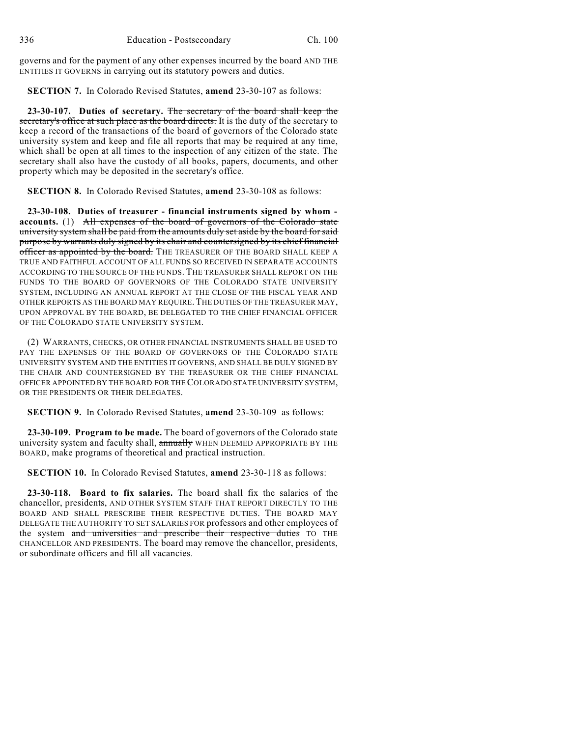governs and for the payment of any other expenses incurred by the board AND THE ENTITIES IT GOVERNS in carrying out its statutory powers and duties.

**SECTION 7.** In Colorado Revised Statutes, **amend** 23-30-107 as follows:

**23-30-107. Duties of secretary.** The secretary of the board shall keep the secretary's office at such place as the board directs. It is the duty of the secretary to keep a record of the transactions of the board of governors of the Colorado state university system and keep and file all reports that may be required at any time, which shall be open at all times to the inspection of any citizen of the state. The secretary shall also have the custody of all books, papers, documents, and other property which may be deposited in the secretary's office.

**SECTION 8.** In Colorado Revised Statutes, **amend** 23-30-108 as follows:

**23-30-108. Duties of treasurer - financial instruments signed by whom accounts.** (1) All expenses of the board of governors of the Colorado state university system shall be paid from the amounts duly set aside by the board for said purpose by warrants duly signed by its chair and countersigned by its chief financial officer as appointed by the board. THE TREASURER OF THE BOARD SHALL KEEP A TRUE AND FAITHFUL ACCOUNT OF ALL FUNDS SO RECEIVED IN SEPARATE ACCOUNTS ACCORDING TO THE SOURCE OF THE FUNDS. THE TREASURER SHALL REPORT ON THE FUNDS TO THE BOARD OF GOVERNORS OF THE COLORADO STATE UNIVERSITY SYSTEM, INCLUDING AN ANNUAL REPORT AT THE CLOSE OF THE FISCAL YEAR AND OTHER REPORTS AS THE BOARD MAY REQUIRE.THE DUTIES OF THE TREASURER MAY, UPON APPROVAL BY THE BOARD, BE DELEGATED TO THE CHIEF FINANCIAL OFFICER OF THE COLORADO STATE UNIVERSITY SYSTEM.

(2) WARRANTS, CHECKS, OR OTHER FINANCIAL INSTRUMENTS SHALL BE USED TO PAY THE EXPENSES OF THE BOARD OF GOVERNORS OF THE COLORADO STATE UNIVERSITY SYSTEM AND THE ENTITIES IT GOVERNS, AND SHALL BE DULY SIGNED BY THE CHAIR AND COUNTERSIGNED BY THE TREASURER OR THE CHIEF FINANCIAL OFFICER APPOINTED BY THE BOARD FOR THECOLORADO STATE UNIVERSITY SYSTEM, OR THE PRESIDENTS OR THEIR DELEGATES.

**SECTION 9.** In Colorado Revised Statutes, **amend** 23-30-109 as follows:

**23-30-109. Program to be made.** The board of governors of the Colorado state university system and faculty shall, annually WHEN DEEMED APPROPRIATE BY THE BOARD, make programs of theoretical and practical instruction.

**SECTION 10.** In Colorado Revised Statutes, **amend** 23-30-118 as follows:

**23-30-118. Board to fix salaries.** The board shall fix the salaries of the chancellor, presidents, AND OTHER SYSTEM STAFF THAT REPORT DIRECTLY TO THE BOARD AND SHALL PRESCRIBE THEIR RESPECTIVE DUTIES. THE BOARD MAY DELEGATE THE AUTHORITY TO SET SALARIES FOR professors and other employees of the system and universities and prescribe their respective duties TO THE CHANCELLOR AND PRESIDENTS. The board may remove the chancellor, presidents, or subordinate officers and fill all vacancies.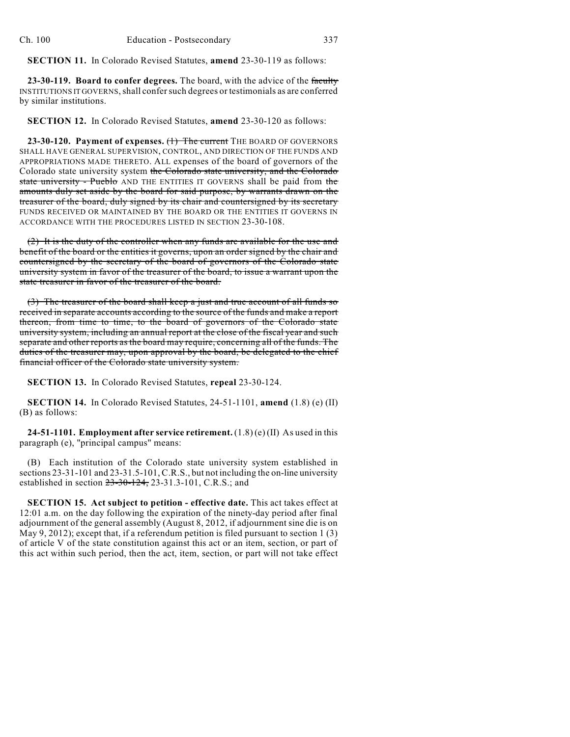**SECTION 11.** In Colorado Revised Statutes, **amend** 23-30-119 as follows:

**23-30-119. Board to confer degrees.** The board, with the advice of the faculty INSTITUTIONS IT GOVERNS, shall confer such degrees or testimonials as are conferred by similar institutions.

**SECTION 12.** In Colorado Revised Statutes, **amend** 23-30-120 as follows:

**23-30-120. Payment of expenses.** (1) The current THE BOARD OF GOVERNORS SHALL HAVE GENERAL SUPERVISION, CONTROL, AND DIRECTION OF THE FUNDS AND APPROPRIATIONS MADE THERETO. ALL expenses of the board of governors of the Colorado state university system the Colorado state university, and the Colorado state university - Pueblo AND THE ENTITIES IT GOVERNS shall be paid from the amounts duly set aside by the board for said purpose, by warrants drawn on the treasurer of the board, duly signed by its chair and countersigned by its secretary FUNDS RECEIVED OR MAINTAINED BY THE BOARD OR THE ENTITIES IT GOVERNS IN ACCORDANCE WITH THE PROCEDURES LISTED IN SECTION 23-30-108.

(2) It is the duty of the controller when any funds are available for the use and benefit of the board or the entities it governs, upon an order signed by the chair and countersigned by the secretary of the board of governors of the Colorado state university system in favor of the treasurer of the board, to issue a warrant upon the state treasurer in favor of the treasurer of the board.

(3) The treasurer of the board shall keep a just and true account of all funds so received in separate accounts according to the source of the funds and make a report thereon, from time to time, to the board of governors of the Colorado state university system, including an annual report at the close of the fiscal year and such separate and other reports as the board may require, concerning all of the funds. The duties of the treasurer may, upon approval by the board, be delegated to the chief financial officer of the Colorado state university system.

**SECTION 13.** In Colorado Revised Statutes, **repeal** 23-30-124.

**SECTION 14.** In Colorado Revised Statutes, 24-51-1101, **amend** (1.8) (e) (II) (B) as follows:

**24-51-1101. Employment after service retirement.** (1.8) (e) (II) As used in this paragraph (e), "principal campus" means:

(B) Each institution of the Colorado state university system established in sections 23-31-101 and 23-31.5-101, C.R.S., but not including the on-line university established in section 23-30-124, 23-31.3-101, C.R.S.; and

**SECTION 15. Act subject to petition - effective date.** This act takes effect at 12:01 a.m. on the day following the expiration of the ninety-day period after final adjournment of the general assembly (August 8, 2012, if adjournment sine die is on May 9, 2012); except that, if a referendum petition is filed pursuant to section 1 (3) of article V of the state constitution against this act or an item, section, or part of this act within such period, then the act, item, section, or part will not take effect